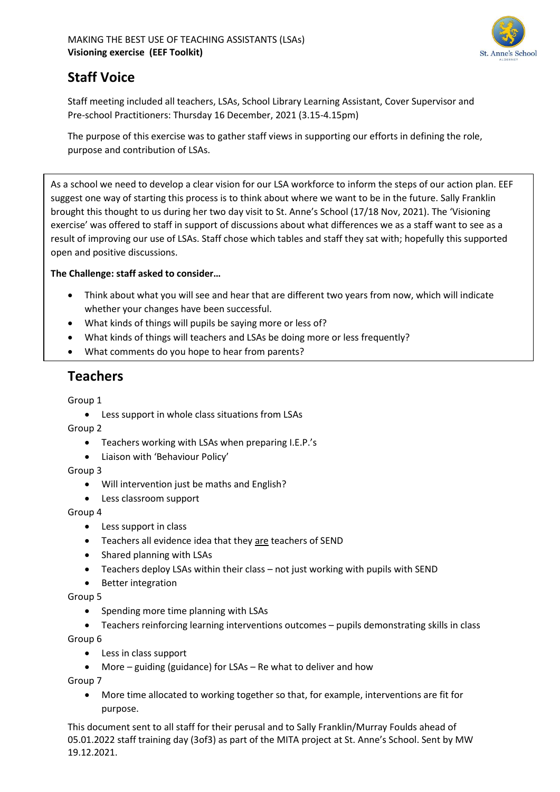

# **Staff Voice**

Staff meeting included all teachers, LSAs, School Library Learning Assistant, Cover Supervisor and Pre-school Practitioners: Thursday 16 December, 2021 (3.15-4.15pm)

The purpose of this exercise was to gather staff views in supporting our efforts in defining the role, purpose and contribution of LSAs.

As a school we need to develop a clear vision for our LSA workforce to inform the steps of our action plan. EEF suggest one way of starting this process is to think about where we want to be in the future. Sally Franklin brought this thought to us during her two day visit to St. Anne's School (17/18 Nov, 2021). The 'Visioning exercise' was offered to staff in support of discussions about what differences we as a staff want to see as a result of improving our use of LSAs. Staff chose which tables and staff they sat with; hopefully this supported open and positive discussions.

### **The Challenge: staff asked to consider…**

- Think about what you will see and hear that are different two years from now, which will indicate whether your changes have been successful.
- What kinds of things will pupils be saying more or less of?
- What kinds of things will teachers and LSAs be doing more or less frequently?
- What comments do you hope to hear from parents?

## **Teachers**

Group 1

• Less support in whole class situations from LSAs

Group 2

- Teachers working with LSAs when preparing I.E.P.'s
- Liaison with 'Behaviour Policy'

Group 3

- Will intervention just be maths and English?
- Less classroom support

Group 4

- Less support in class
- Teachers all evidence idea that they are teachers of SEND
- Shared planning with LSAs
- Teachers deploy LSAs within their class not just working with pupils with SEND
- Better integration

Group 5

- Spending more time planning with LSAs
- Teachers reinforcing learning interventions outcomes pupils demonstrating skills in class

Group 6

- Less in class support
- More guiding (guidance) for LSAs Re what to deliver and how

Group 7

• More time allocated to working together so that, for example, interventions are fit for purpose.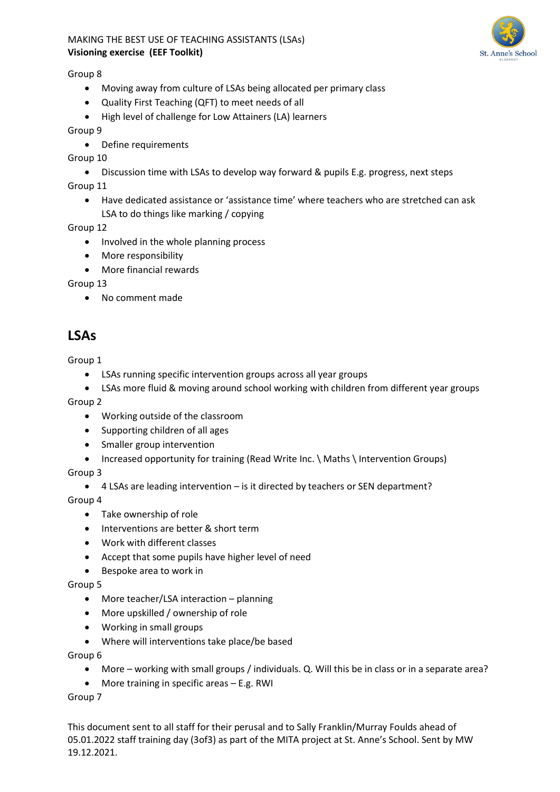

Group 8

- Moving away from culture of LSAs being allocated per primary class
- Quality First Teaching (QFT) to meet needs of all
- High level of challenge for Low Attainers (LA) learners

Group 9

• Define requirements

Group 10

- Discussion time with LSAs to develop way forward & pupils E.g. progress, next steps Group 11
	- Have dedicated assistance or 'assistance time' where teachers who are stretched can ask LSA to do things like marking / copying

Group 12

- Involved in the whole planning process
- More responsibility
- More financial rewards

Group 13

• No comment made

## **LSAs**

Group 1

- LSAs running specific intervention groups across all year groups
- LSAs more fluid & moving around school working with children from different year groups

Group 2

- Working outside of the classroom
- Supporting children of all ages
- Smaller group intervention
- Increased opportunity for training (Read Write Inc. \ Maths \ Intervention Groups)

Group 3

• 4 LSAs are leading intervention – is it directed by teachers or SEN department?

Group 4

- Take ownership of role
- Interventions are better & short term
- Work with different classes
- Accept that some pupils have higher level of need
- Bespoke area to work in

Group 5

- More teacher/LSA interaction planning
- More upskilled / ownership of role
- Working in small groups
- Where will interventions take place/be based

Group 6

- More working with small groups / individuals. Q. Will this be in class or in a separate area?
- More training in specific areas E.g. RWI

Group 7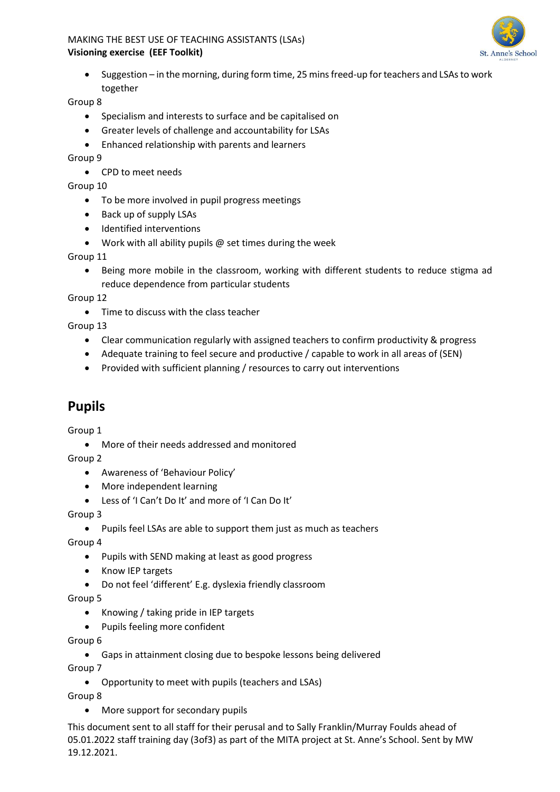

• Suggestion – in the morning, during form time, 25 mins freed-up for teachers and LSAs to work together

Group 8

- Specialism and interests to surface and be capitalised on
- Greater levels of challenge and accountability for LSAs
- Enhanced relationship with parents and learners

Group 9

• CPD to meet needs

Group 10

- To be more involved in pupil progress meetings
- Back up of supply LSAs
- Identified interventions
- Work with all ability pupils  $\omega$  set times during the week

Group 11

• Being more mobile in the classroom, working with different students to reduce stigma ad reduce dependence from particular students

Group 12

• Time to discuss with the class teacher

Group 13

- Clear communication regularly with assigned teachers to confirm productivity & progress
- Adequate training to feel secure and productive / capable to work in all areas of (SEN)
- Provided with sufficient planning / resources to carry out interventions

## **Pupils**

Group 1

• More of their needs addressed and monitored

Group 2

- Awareness of 'Behaviour Policy'
- More independent learning
- Less of 'I Can't Do It' and more of 'I Can Do It'

Group 3

• Pupils feel LSAs are able to support them just as much as teachers

Group 4

- Pupils with SEND making at least as good progress
- Know IEP targets
- Do not feel 'different' E.g. dyslexia friendly classroom

Group 5

- Knowing / taking pride in IEP targets
- Pupils feeling more confident

Group 6

• Gaps in attainment closing due to bespoke lessons being delivered

Group 7

• Opportunity to meet with pupils (teachers and LSAs)

Group 8

• More support for secondary pupils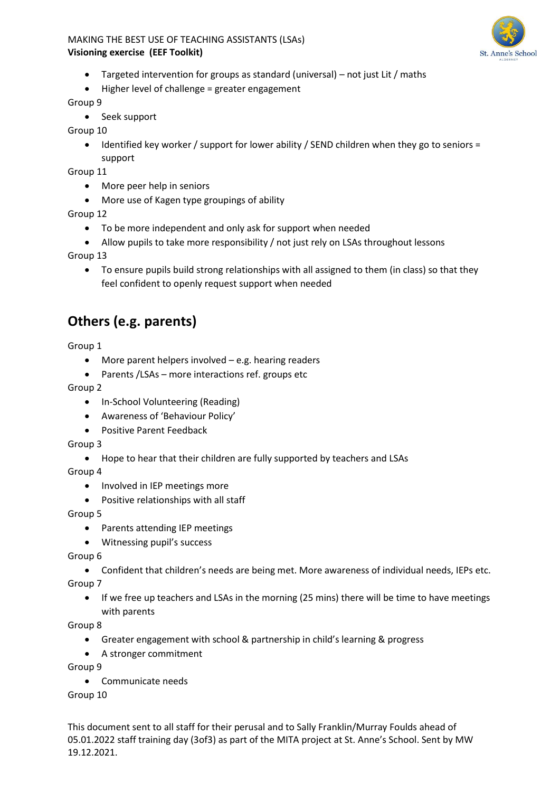

- Targeted intervention for groups as standard (universal) not just Lit / maths
- Higher level of challenge = greater engagement

### Group 9

• Seek support

Group 10

• Identified key worker / support for lower ability / SEND children when they go to seniors = support

Group 11

- More peer help in seniors
- More use of Kagen type groupings of ability

Group 12

- To be more independent and only ask for support when needed
- Allow pupils to take more responsibility / not just rely on LSAs throughout lessons

Group 13

• To ensure pupils build strong relationships with all assigned to them (in class) so that they feel confident to openly request support when needed

# **Others (e.g. parents)**

Group 1

- More parent helpers involved e.g. hearing readers
- Parents / LSAs more interactions ref. groups etc

Group 2

- In-School Volunteering (Reading)
- Awareness of 'Behaviour Policy'
- Positive Parent Feedback

Group 3

• Hope to hear that their children are fully supported by teachers and LSAs

Group 4

- Involved in IEP meetings more
- Positive relationships with all staff

Group 5

- Parents attending IEP meetings
- Witnessing pupil's success

Group 6

- Confident that children's needs are being met. More awareness of individual needs, IEPs etc. Group 7
	- If we free up teachers and LSAs in the morning (25 mins) there will be time to have meetings with parents

Group 8

- Greater engagement with school & partnership in child's learning & progress
- A stronger commitment

Group 9

• Communicate needs

Group 10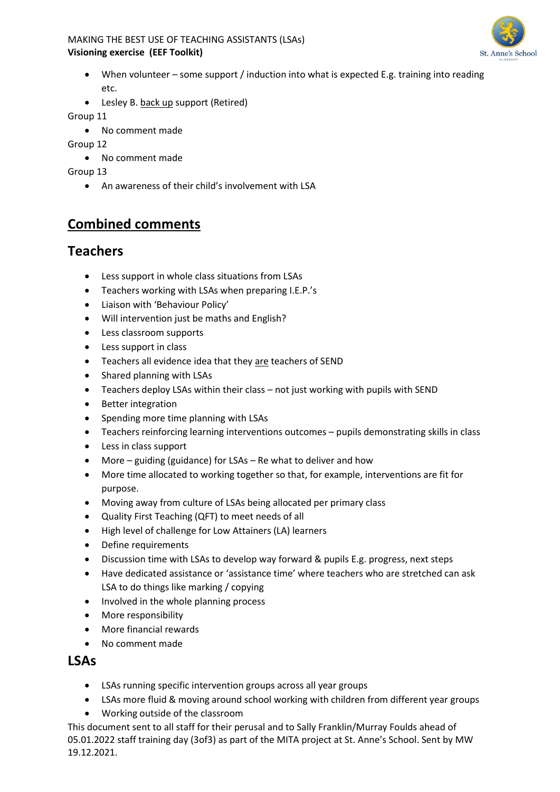

- When volunteer some support / induction into what is expected E.g. training into reading etc.
- Lesley B. back up support (Retired)

Group 11

- No comment made
- Group 12
	- No comment made

Group 13

• An awareness of their child's involvement with LSA

## **Combined comments**

## **Teachers**

- Less support in whole class situations from LSAs
- Teachers working with LSAs when preparing I.E.P.'s
- Liaison with 'Behaviour Policy'
- Will intervention just be maths and English?
- Less classroom supports
- Less support in class
- Teachers all evidence idea that they are teachers of SEND
- Shared planning with LSAs
- Teachers deploy LSAs within their class not just working with pupils with SEND
- Better integration
- Spending more time planning with LSAs
- Teachers reinforcing learning interventions outcomes pupils demonstrating skills in class
- Less in class support
- More guiding (guidance) for LSAs Re what to deliver and how
- More time allocated to working together so that, for example, interventions are fit for purpose.
- Moving away from culture of LSAs being allocated per primary class
- Quality First Teaching (QFT) to meet needs of all
- High level of challenge for Low Attainers (LA) learners
- Define requirements
- Discussion time with LSAs to develop way forward & pupils E.g. progress, next steps
- Have dedicated assistance or 'assistance time' where teachers who are stretched can ask LSA to do things like marking / copying
- Involved in the whole planning process
- More responsibility
- More financial rewards
- No comment made

### **LSAs**

- LSAs running specific intervention groups across all year groups
- LSAs more fluid & moving around school working with children from different year groups
- Working outside of the classroom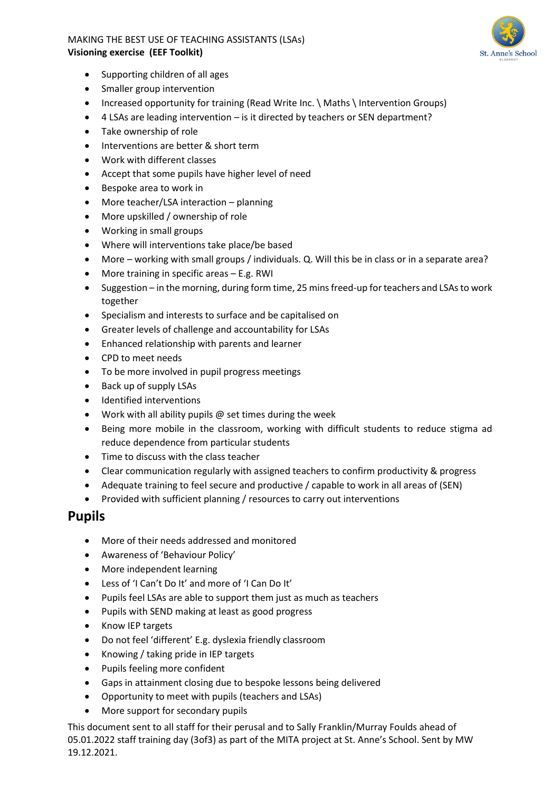

- Supporting children of all ages
- Smaller group intervention
- Increased opportunity for training (Read Write Inc. \ Maths \ Intervention Groups)
- 4 LSAs are leading intervention is it directed by teachers or SEN department?
- Take ownership of role
- Interventions are better & short term
- Work with different classes
- Accept that some pupils have higher level of need
- Bespoke area to work in
- More teacher/LSA interaction planning
- More upskilled / ownership of role
- Working in small groups
- Where will interventions take place/be based
- More working with small groups / individuals. Q. Will this be in class or in a separate area?
- More training in specific areas E.g. RWI
- Suggestion in the morning, during form time, 25 mins freed-up for teachers and LSAs to work together
- Specialism and interests to surface and be capitalised on
- Greater levels of challenge and accountability for LSAs
- Enhanced relationship with parents and learner
- CPD to meet needs
- To be more involved in pupil progress meetings
- Back up of supply LSAs
- Identified interventions
- Work with all ability pupils @ set times during the week
- Being more mobile in the classroom, working with difficult students to reduce stigma ad reduce dependence from particular students
- Time to discuss with the class teacher
- Clear communication regularly with assigned teachers to confirm productivity & progress
- Adequate training to feel secure and productive / capable to work in all areas of (SEN)
- Provided with sufficient planning / resources to carry out interventions

### **Pupils**

- More of their needs addressed and monitored
- Awareness of 'Behaviour Policy'
- More independent learning
- Less of 'I Can't Do It' and more of 'I Can Do It'
- Pupils feel LSAs are able to support them just as much as teachers
- Pupils with SEND making at least as good progress
- Know IEP targets
- Do not feel 'different' E.g. dyslexia friendly classroom
- Knowing / taking pride in IEP targets
- Pupils feeling more confident
- Gaps in attainment closing due to bespoke lessons being delivered
- Opportunity to meet with pupils (teachers and LSAs)
- More support for secondary pupils